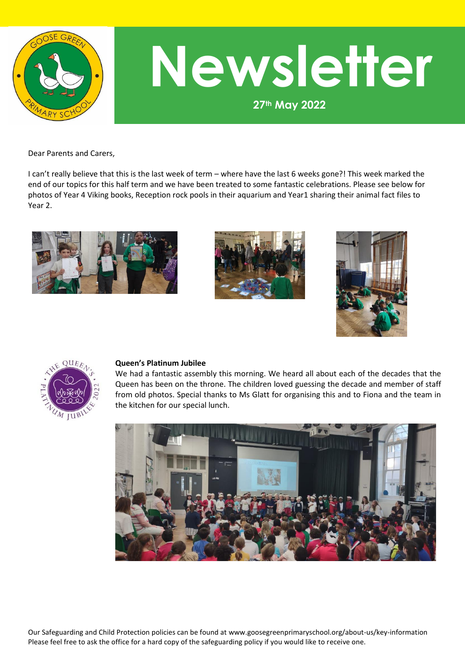

# **27th May 2022 Newsletter**

Dear Parents and Carers,

I can't really believe that this is the last week of term – where have the last 6 weeks gone?! This week marked the end of our topics for this half term and we have been treated to some fantastic celebrations. Please see below for photos of Year 4 Viking books, Reception rock pools in their aquarium and Year1 sharing their animal fact files to Year 2.









#### **Queen's Platinum Jubilee**

We had a fantastic assembly this morning. We heard all about each of the decades that the Queen has been on the throne. The children loved guessing the decade and member of staff from old photos. Special thanks to Ms Glatt for organising this and to Fiona and the team in the kitchen for our special lunch.



Our Safeguarding and Child Protection policies can be found at www.goosegreenprimaryschool.org/about-us/key-information Please feel free to ask the office for a hard copy of the safeguarding policy if you would like to receive one.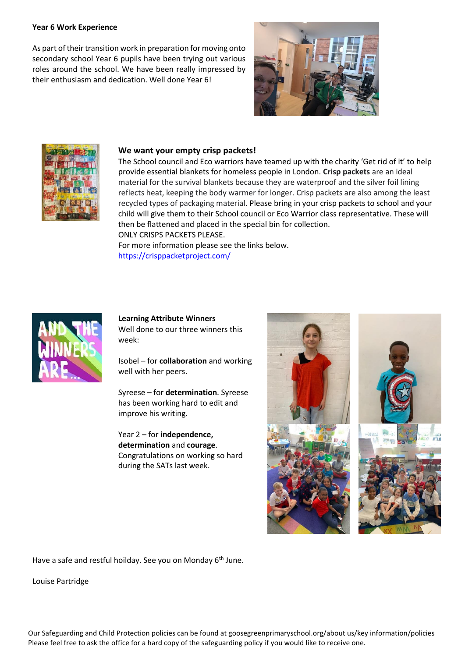### **Year 6 Work Experience**

As part of their transition work in preparation for moving onto secondary school Year 6 pupils have been trying out various roles around the school. We have been really impressed by their enthusiasm and dedication. Well done Year 6!





#### **We want your empty crisp packets!**

The School council and Eco warriors have teamed up with the charity 'Get rid of it' to help provide essential blankets for homeless people in London. **Crisp packets** are an ideal material for the survival blankets because they are waterproof and the silver foil lining reflects heat, keeping the body warmer for longer. Crisp packets are also among the least recycled types of packaging material. Please bring in your crisp packets to school and your child will give them to their School council or Eco Warrior class representative. These will then be flattened and placed in the special bin for collection. ONLY CRISPS PACKETS PLEASE.

For more information please see the links below. <https://crisppacketproject.com/>



### **Learning Attribute Winners** Well done to our three winners this week:

Isobel – for **collaboration** and working well with her peers.

Syreese – for **determination**. Syreese has been working hard to edit and improve his writing.

Year 2 – for **independence, determination** and **courage**. Congratulations on working so hard during the SATs last week.



Have a safe and restful hoilday. See you on Monday 6<sup>th</sup> June.

Louise Partridge

Our Safeguarding and Child Protection policies can be found at goosegreenprimaryschool.org/about us/key information/policies Please feel free to ask the office for a hard copy of the safeguarding policy if you would like to receive one.